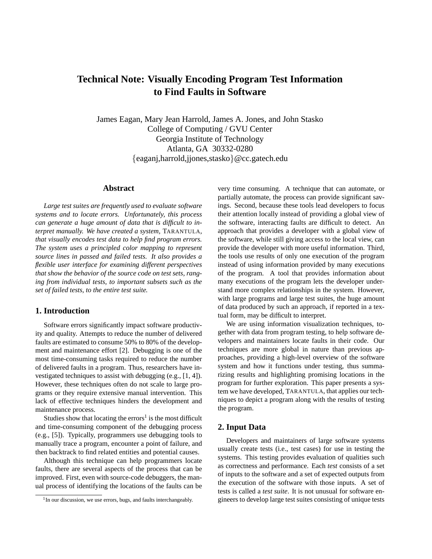# **Technical Note: Visually Encoding Program Test Information to Find Faults in Software**

James Eagan, Mary Jean Harrold, James A. Jones, and John Stasko College of Computing / GVU Center Georgia Institute of Technology Atlanta, GA 30332-0280 {eaganj,harrold,jjones,stasko}@cc.gatech.edu

#### **Abstract**

*Large test suites are frequently used to evaluate software systems and to locate errors. Unfortunately, this process can generate a huge amount of data that is difficult to interpret manually. We have created a system,* TARANTULA*, that visually encodes test data to help find program errors. The system uses a principled color mapping to represent source lines in passed and failed tests. It also provides a flexible user interface for examining different perspectives that show the behavior of the source code on test sets, ranging from individual tests, to important subsets such as the set of failed tests, to the entire test suite.*

### **1. Introduction**

Software errors significantly impact software productivity and quality. Attempts to reduce the number of delivered faults are estimated to consume 50% to 80% of the development and maintenance effort [2]. Debugging is one of the most time-consuming tasks required to reduce the number of delivered faults in a program. Thus, researchers have investigated techniques to assist with debugging (e.g., [1, 4]). However, these techniques often do not scale to large programs or they require extensive manual intervention. This lack of effective techniques hinders the development and maintenance process.

Studies show that locating the errors<sup>1</sup> is the most difficult and time-consuming component of the debugging process (e.g., [5]). Typically, programmers use debugging tools to manually trace a program, encounter a point of failure, and then backtrack to find related entities and potential causes.

Although this technique can help programmers locate faults, there are several aspects of the process that can be improved. First, even with source-code debuggers, the manual process of identifying the locations of the faults can be very time consuming. A technique that can automate, or partially automate, the process can provide significant savings. Second, because these tools lead developers to focus their attention locally instead of providing a global view of the software, interacting faults are difficult to detect. An approach that provides a developer with a global view of the software, while still giving access to the local view, can provide the developer with more useful information. Third, the tools use results of only one execution of the program instead of using information provided by many executions of the program. A tool that provides information about many executions of the program lets the developer understand more complex relationships in the system. However, with large programs and large test suites, the huge amount of data produced by such an approach, if reported in a textual form, may be difficult to interpret.

We are using information visualization techniques, together with data from program testing, to help software developers and maintainers locate faults in their code. Our techniques are more global in nature than previous approaches, providing a high-level overview of the software system and how it functions under testing, thus summarizing results and highlighting promising locations in the program for further exploration. This paper presents a system we have developed, TARANTULA, that applies our techniques to depict a program along with the results of testing the program.

## **2. Input Data**

Developers and maintainers of large software systems usually create tests (i.e., test cases) for use in testing the systems. This testing provides evaluation of qualities such as correctness and performance. Each *test* consists of a set of inputs to the software and a set of expected outputs from the execution of the software with those inputs. A set of tests is called a *test suite*. It is not unusual for software engineers to develop large test suites consisting of unique tests

<sup>&</sup>lt;sup>1</sup>In our discussion, we use errors, bugs, and faults interchangeably.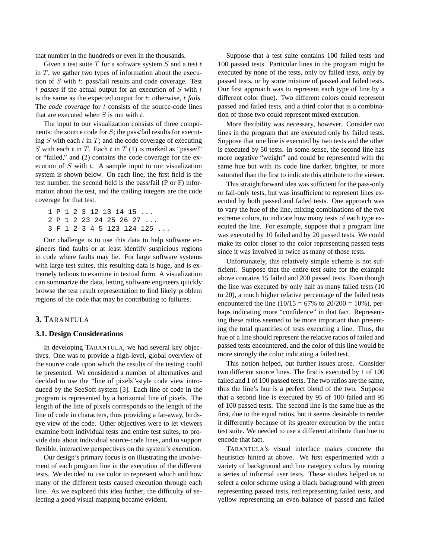that number in the hundreds or even in the thousands.

Given a test suite  $T$  for a software system  $S$  and a test  $t$ in  $T$ , we gather two types of information about the execution of S with t: pass/fail results and code coverage. Test t *passes* if the actual output for an execution of S with t is the same as the expected output for t; otherwise, t *fails*. The *code coverage* for t consists of the source-code lines that are executed when  $S$  is run with  $t$ .

The input to our visualization consists of three components: the source code for S; the pass/fail results for executing  $S$  with each  $t$  in  $T$ ; and the code coverage of executing S with each t in T. Each t in T (1) is marked as "passed" or "failed," and (2) contains the code coverage for the execution of  $S$  with  $t$ . A sample input to our visualization system is shown below. On each line, the first field is the test number, the second field is the pass/fail (P or F) information about the test, and the trailing integers are the code coverage for that test.

1 P 1 2 3 12 13 14 15 ... 2 P 1 2 23 24 25 26 27 ... 3 F 1 2 3 4 5 123 124 125 ...

Our challenge is to use this data to help software engineers find faults or at least identify suspicious regions in code where faults may lie. For large software systems with large test suites, this resulting data is huge, and is extremely tedious to examine in textual form. A visualization can summarize the data, letting software engineers quickly browse the test result representation to find likely problem regions of the code that may be contributing to failures.

#### **3.** TARANTULA

#### **3.1. Design Considerations**

In developing TARANTULA, we had several key objectives. One was to provide a high-level, global overview of the source code upon which the results of the testing could be presented. We considered a number of alternatives and decided to use the "line of pixels"-style code view introduced by the SeeSoft system [3]. Each line of code in the program is represented by a horizontal line of pixels. The length of the line of pixels corresponds to the length of the line of code in characters, thus providing a far-away, birdseye view of the code. Other objectives were to let viewers examine both individual tests and entire test suites, to provide data about individual source-code lines, and to support flexible, interactive perspectives on the system's execution.

Our design's primary focus is on illustrating the involvement of each program line in the execution of the different tests. We decided to use color to represent which and how many of the different tests caused execution through each line. As we explored this idea further, the difficulty of selecting a good visual mapping became evident.

Suppose that a test suite contains 100 failed tests and 100 passed tests. Particular lines in the program might be executed by none of the tests, only by failed tests, only by passed tests, or by some mixture of passed and failed tests. Our first approach was to represent each type of line by a different color (hue). Two different colors could represent passed and failed tests, and a third color that is a combination of those two could represent mixed execution.

More flexibility was necessary, however. Consider two lines in the program that are executed only by failed tests. Suppose that one line is executed by two tests and the other is executed by 50 tests. In some sense, the second line has more negative "weight" and could be represented with the same hue but with its code line darker, brighter, or more saturated than the first to indicate this attribute to the viewer.

This straightforward idea was sufficient for the pass-only or fail-only tests, but was insufficient to represent lines executed by both passed and failed tests. One approach was to vary the hue of the line, mixing combinations of the two extreme colors, to indicate how many tests of each type executed the line. For example, suppose that a program line was executed by 10 failed and by 20 passed tests. We could make its color closer to the color representing passed tests since it was involved in twice as many of those tests.

Unfortunately, this relatively simple scheme is not sufficient. Suppose that the entire test suite for the example above contains 15 failed and 200 passed tests. Even though the line was executed by only half as many failed tests (10 to 20), a much higher relative percentage of the failed tests encountered the line  $(10/15 = 67\%$  to  $20/200 = 10\%$ ), perhaps indicating more "confidence" in that fact. Representing these ratios seemed to be more important than presenting the total quantities of tests executing a line. Thus, the hue of a line should represent the relative ratios of failed and passed tests encountered, and the color of this line would be more strongly the color indicating a failed test.

This notion helped, but further issues arose. Consider two different source lines. The first is executed by 1 of 100 failed and 1 of 100 passed tests. The two ratios are the same, thus the line's hue is a perfect blend of the two. Suppose that a second line is executed by 95 of 100 failed and 95 of 100 passed tests. The second line is the same hue as the first, due to the equal ratios, but it seems desirable to render it differently because of its greater execution by the entire test suite. We needed to use a different attribute than hue to encode that fact.

TARANTULA's visual interface makes concrete the heuristics hinted at above. We first experimented with a variety of background and line category colors by running a series of informal user tests. These studies helped us to select a color scheme using a black background with green representing passed tests, red representing failed tests, and yellow representing an even balance of passed and failed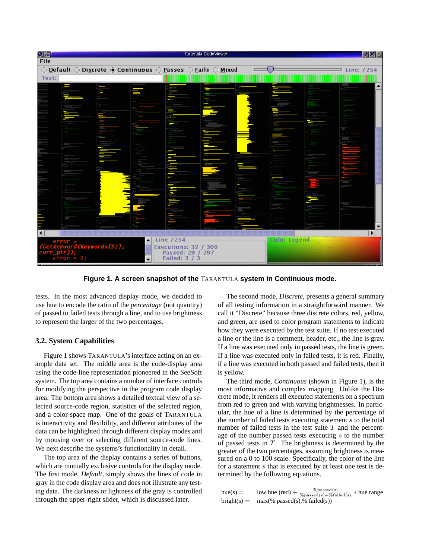

**Figure 1. A screen snapshot of the** TARANTULA **system in Continuous mode.**

tests. In the most advanced display mode, we decided to use hue to encode the ratio of the *percentage* (not quantity) of passed to failed tests through a line, and to use brightness to represent the larger of the two percentages.

# **3.2. System Capabilities**

Figure 1 shows TARANTULA's interface acting on an example data set. The middle area is the code-display area using the code-line representation pioneered in the SeeSoft system. The top area contains a number of interface controls for modifying the perspective in the program code display area. The bottom area shows a detailed textual view of a selected source-code region, statistics of the selected region, and a color-space map. One of the goals of TARANTULA is interactivity and flexibility, and different attributes of the data can be highlighted through different display modes and by mousing over or selecting different source-code lines. We next describe the systems's functionality in detail.

The top area of the display contains a series of buttons, which are mutually exclusive controls for the display mode. The first mode, *Default*, simply shows the lines of code in gray in the code display area and does not illustrate any testing data. The darkness or lightness of the gray is controlled through the upper-right slider, which is discussed later.

The second mode, *Discrete*, presents a general summary of all testing information in a straightforward manner. We call it "Discrete" because three discrete colors, red, yellow, and green, are used to color program statements to indicate how they were executed by the test suite. If no test executed a line or the line is a comment, header, etc., the line is gray. If a line was executed only in passed tests, the line is green. If a line was executed only in failed tests, it is red. Finally, if a line was executed in both passed and failed tests, then it is yellow.

The third mode, *Continuous* (shown in Figure 1), is the most informative and complex mapping. Unlike the Discrete mode, it renders all executed statements on a spectrum from red to green and with varying brightnesses. In particular, the hue of a line is determined by the percentage of the number of failed tests executing statement s to the total number of failed tests in the test suite  $T$  and the percentage of the number passed tests executing s to the number of passed tests in  $T$ . The brightness is determined by the greater of the two percentages, assuming brightness is measured on a 0 to 100 scale. Specifically, the color of the line for a statement  $s$  that is executed by at least one test is determined by the following equations.

hue(s) = low hue (red) +  $\frac{\%_{\text{passet(s)}}}{\%_{\text{passet(s)}} + \frac{\%_{\text{pased(s)}}}{\%_{\text{pashed(s)}}}}$  \* hue range bright(s) =  $max(\%$  passed(s),% failed(s))